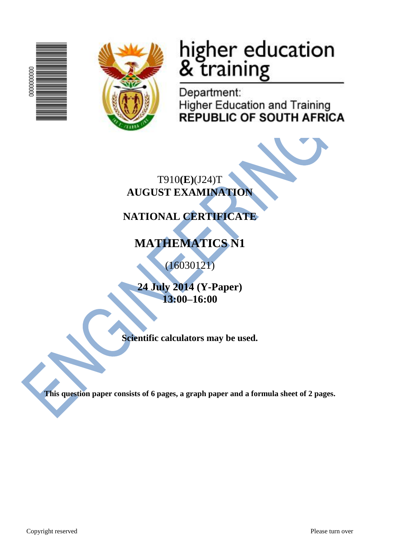



# higher education<br>& training

Department: **Higher Education and Training REPUBLIC OF SOUTH AFRICA** 

T910**(E)**(J24)T **AUGUST EXAMINATION**

## **NATIONAL CERTIFICATE**

## **MATHEMATICS N1**

(16030121)

**24 July 2014 (Y-Paper) 13:00–16:00**

**Scientific calculators may be used.**

**This question paper consists of 6 pages, a graph paper and a formula sheet of 2 pages.**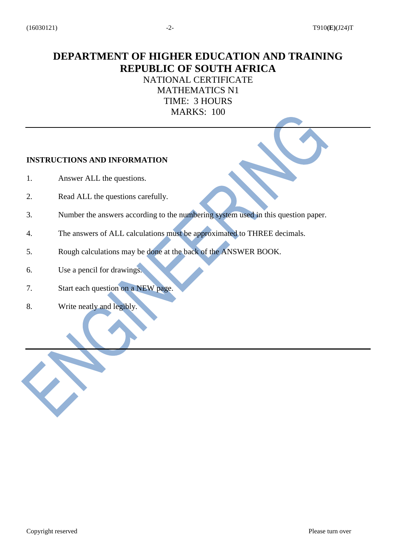### **DEPARTMENT OF HIGHER EDUCATION AND TRAINING REPUBLIC OF SOUTH AFRICA**

#### NATIONAL CERTIFICATE MATHEMATICS N1 TIME: 3 HOURS MARKS: 100

#### **INSTRUCTIONS AND INFORMATION**

- 1. Answer ALL the questions.
- 2. Read ALL the questions carefully.
- 3. Number the answers according to the numbering system used in this question paper.
- 4. The answers of ALL calculations must be approximated to THREE decimals.
- 5. Rough calculations may be done at the back of the ANSWER BOOK.
- 6. Use a pencil for drawings.
- 7. Start each question on a NEW page.
- 8. Write neatly and legibly.

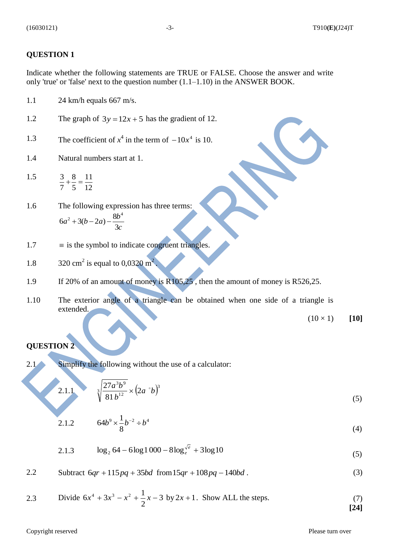#### **QUESTION 1**

Indicate whether the following statements are TRUE or FALSE. Choose the answer and write only 'true' or 'false' next to the question number (1.1–1.10) in the ANSWER BOOK.

- 1.1 24 km/h equals 667 m/s.
- 1.2 The graph of  $3y = 12x + 5$  has the gradient of 12.
- 1.3 The coefficient of  $x^4$  in the term of  $-10x^4$  is 10.
- 1.4 Natural numbers start at 1.
- 1.5 12 11 5 8 7  $\frac{3}{2} + \frac{8}{4} =$
- 1.6 The following expression has three terms: *c*  $a^2 + 3(b-2a) - \frac{8b}{2}$ 3  $6a^2 + 3(b-2a) - \frac{8}{6}$  $^{2}+3(b-2a)-\frac{8b^{4}}{2}$
- 1.7  $\equiv$  is the symbol to indicate congruent triangles.
- 1.8 320 cm<sup>2</sup> is equal to  $0.0320 \text{ m}^2$ .
- 1.9 If 20% of an amount of money is R105,25, then the amount of money is R526,25.
- 1.10 The exterior angle of a triangle can be obtained when one side of a triangle is extended.

 $(10 \times 1)$  [10]

#### **QUESTION 2**

2.1.1

2.1 Simplify the following without the use of a calculator:

$$
\sqrt[3]{\frac{27a^3b^9}{81b^{12}}} \times (2a^{\circ}b)^3
$$
 (5)

2.1.2 
$$
64b^9 \times \frac{1}{8}b^{-2} \div b^4
$$
 (4)

2.1.3 
$$
\log_2 64 - 6\log 1000 - 8\log_e^{\sqrt{e}} + 3\log 10
$$
 (5)

2.2 Subtract 
$$
6qr + 115pq + 35bd
$$
 from  $15qr + 108pq - 140bd$ . (3)

2.3 Divide 
$$
6x^4 + 3x^3 - x^2 + \frac{1}{2}x - 3
$$
 by  $2x + 1$ . Show ALL the steps. (7)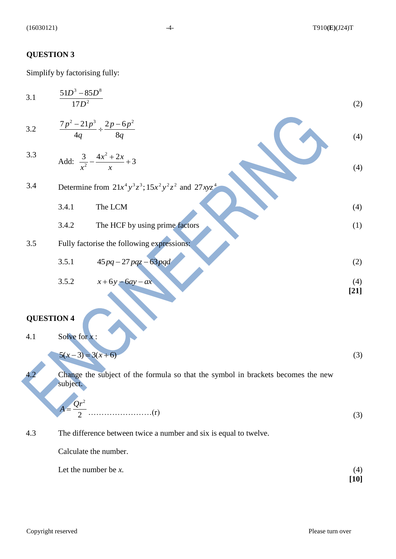## **QUESTION 3**

Simplify by factorising fully:

| 3.1               | $51D^3 - 85D^8$<br>$\overline{17D^2}$                      |                                                                                  | (2)           |  |  |
|-------------------|------------------------------------------------------------|----------------------------------------------------------------------------------|---------------|--|--|
| $3.2\,$           |                                                            | $\frac{7p^2-21p^3}{4q} \div \frac{2p-6p^2}{8q}$                                  | (4)           |  |  |
| 3.3               |                                                            | Add: $\frac{3}{x^2} - \frac{4x^2 + 2x}{x} + 3$                                   | (4)           |  |  |
| 3.4               | Determine from $21x^4y^3z^3$ ; $15x^2y^2z^2$ and $27xyz^4$ |                                                                                  |               |  |  |
|                   | 3.4.1                                                      | The LCM                                                                          | (4)           |  |  |
|                   | 3.4.2                                                      | The HCF by using prime factors                                                   | (1)           |  |  |
| 3.5               |                                                            | Fully factorise the following expressions:                                       |               |  |  |
|                   | 3.5.1                                                      | $45pq - 27pqz - 63pqd$                                                           | (2)           |  |  |
|                   | 3.5.2                                                      | $x+6y-6ay-ax$                                                                    | (4)<br>$[21]$ |  |  |
|                   |                                                            |                                                                                  |               |  |  |
| <b>QUESTION 4</b> |                                                            |                                                                                  |               |  |  |
| 4.1               | Solve for $x$ :                                            |                                                                                  |               |  |  |
|                   | $5(x-3) = 3(x+6)$                                          |                                                                                  | (3)           |  |  |
|                   | subject.                                                   | Change the subject of the formula so that the symbol in brackets becomes the new |               |  |  |
|                   | $Qr^2$                                                     |                                                                                  |               |  |  |
|                   |                                                            |                                                                                  | (3)           |  |  |
| 4.3               |                                                            | The difference between twice a number and six is equal to twelve.                |               |  |  |
|                   | Calculate the number.                                      |                                                                                  |               |  |  |
|                   | Let the number be $x$ .                                    |                                                                                  | (4)<br>$[10]$ |  |  |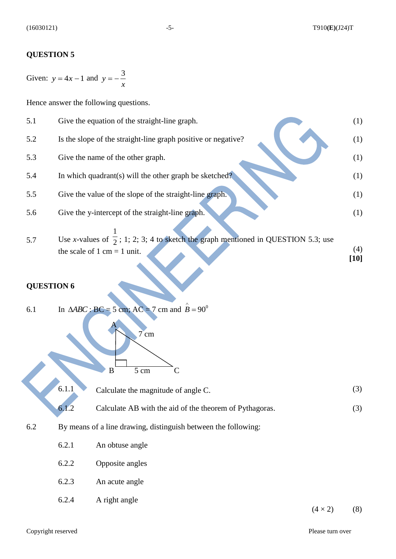#### **QUESTION 5**

Given:  $y = 4x - 1$  and *x*  $y = -\frac{3}{x}$ 

Hence answer the following questions.

| 5.1 | Give the equation of the straight-line graph.                                                                                | (1)           |
|-----|------------------------------------------------------------------------------------------------------------------------------|---------------|
| 5.2 | Is the slope of the straight-line graph positive or negative?                                                                | (1)           |
| 5.3 | Give the name of the other graph.                                                                                            | (1)           |
| 5.4 | In which quadrant(s) will the other graph be sketched?                                                                       | (1)           |
| 5.5 | Give the value of the slope of the straight-line graph.                                                                      | (1)           |
| 5.6 | Give the y-intercept of the straight-line graph.                                                                             | (1)           |
| 5.7 | Use x-values of $\frac{1}{2}$ ; 1; 2; 3; 4 to sketch the graph mentioned in QUESTION 5.3; use<br>the scale of 1 cm = 1 unit. | (4)<br>$[10]$ |

#### **QUESTION 6**

6.1 In  $\triangle ABC$ : BC = 5 cm; AC = 7 cm and  $\hat{B} = 90^{\circ}$ 

A

7 cm

 $B \overline{5 \text{ cm}}$  C

6.1.1 Calculate the magnitude of angle C. (3)

- 6.1.2 Calculate AB with the aid of the theorem of Pythagoras. (3)
- 6.2 By means of a line drawing, distinguish between the following:
	- 6.2.1 An obtuse angle
	- 6.2.2 Opposite angles
	- 6.2.3 An acute angle
	- 6.2.4 A right angle

 $(4 \times 2)$  (8)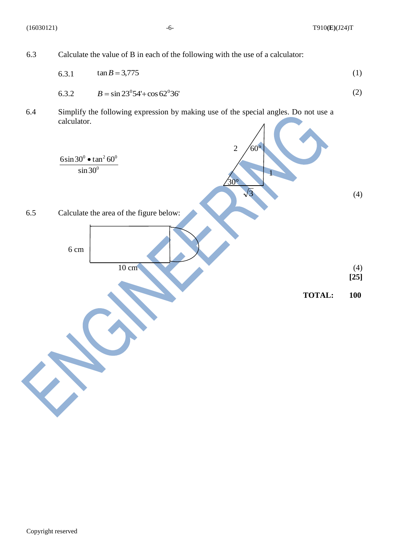(16030121) -6- T910**(E)**(J24)T



6.3.1 
$$
\tan B = 3{,}775
$$
 (1)

$$
6.3.2 \t\t B = \sin 23^0 54' + \cos 62^0 36'
$$
\t(2)

6.4 Simplify the following expression by making use of the special angles. Do not use a calculator.

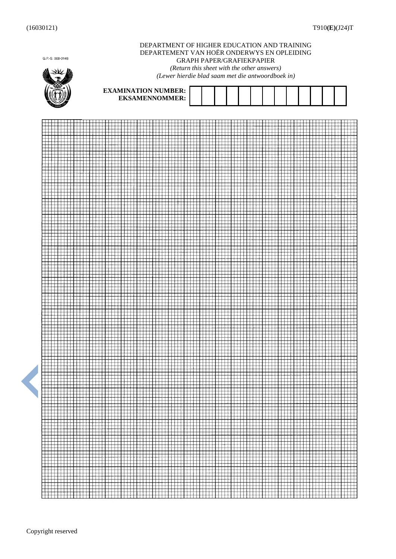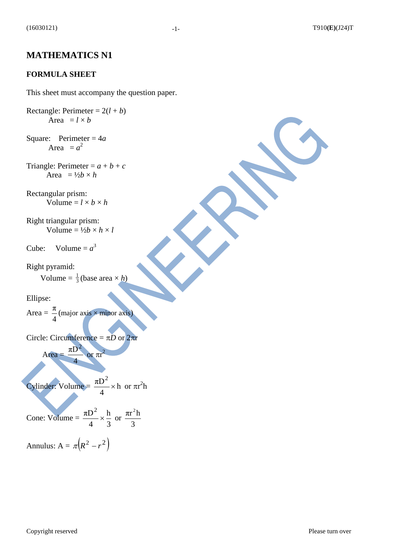#### **FORMULA SHEET**

This sheet must accompany the question paper.

$$
Rectangle: Perimeter = 2(l + b)
$$
  
Area =  $l \times b$ 

Square: Perimeter = 4*a* Area  $= a^2$ 

Triangle: Perimeter =  $a + b + c$ Area =  $\frac{1}{2}b \times h$ 

Rectangular prism: Volume =  $l \times b \times h$ 

Right triangular prism: Volume =  $\frac{1}{2}b \times h \times l$ 

Cube: Volume =  $a^3$ 

Right pyramid: Volume  $=\frac{1}{3}$  $\frac{1}{3}$ (base area  $\times h$ )

Ellipse:

 $Area =$ 4  $\frac{\pi}{4}$ (major axis)

Circle: Circumference =  $\pi D$  or  $2\pi r$ 

 $Area =$ 4  $\pi D$ or  $\pi r^2$ 

Cylinder: Volume =  $\frac{160}{12} \times h$ 4  $\frac{\pi D^2}{4}$  × h or  $\pi r^2 h$ 

Cone: Volume = 3 h 4  $\frac{\pi D^2}{\sigma} \times \frac{h}{2}$  or 3  $\pi r^2$ h

Annulus:  $A = \pi (R^2 - r^2)$